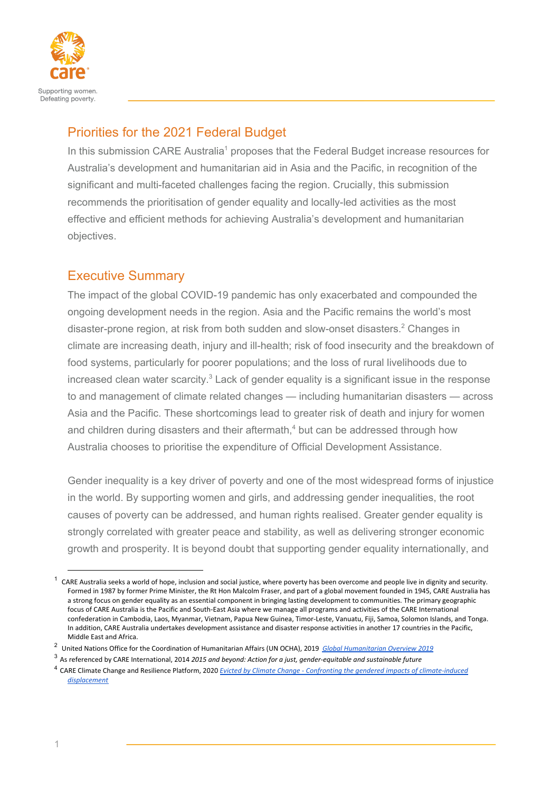

# Priorities for the 2021 Federal Budget

In this submission CARE Australia<sup>1</sup> proposes that the Federal Budget increase resources for Australia's development and humanitarian aid in Asia and the Pacific, in recognition of the significant and multi-faceted challenges facing the region. Crucially, this submission recommends the prioritisation of gender equality and locally-led activities as the most effective and efficient methods for achieving Australia's development and humanitarian objectives.

# Executive Summary

The impact of the global COVID-19 pandemic has only exacerbated and compounded the ongoing development needs in the region. Asia and the Pacific remains the world's most disaster-prone region, at risk from both sudden and slow-onset disasters.<sup>2</sup> Changes in climate are increasing death, injury and ill-health; risk of food insecurity and the breakdown of food systems, particularly for poorer populations; and the loss of rural livelihoods due to increased clean water scarcity. $3$  Lack of gender equality is a significant issue in the response to and management of climate related changes — including humanitarian disasters — across Asia and the Pacific. These shortcomings lead to greater risk of death and injury for women and children during disasters and their aftermath, $4$  but can be addressed through how Australia chooses to prioritise the expenditure of Official Development Assistance.

Gender inequality is a key driver of poverty and one of the most widespread forms of injustice in the world. By supporting women and girls, and addressing gender inequalities, the root causes of poverty can be addressed, and human rights realised. Greater gender equality is strongly correlated with greater peace and stability, as well as delivering stronger economic growth and prosperity. It is beyond doubt that supporting gender equality internationally, and

<sup>3</sup> As referenced by CARE International, 2014 *2015 and beyond: Action for a just, gender-equitable and sustainable future*

 $1$  CARE Australia seeks a world of hope, inclusion and social justice, where poverty has been overcome and people live in dignity and security. Formed in 1987 by former Prime Minister, the Rt Hon Malcolm Fraser, and part of a global movement founded in 1945, CARE Australia has a strong focus on gender equality as an essential component in bringing lasting development to communities. The primary geographic focus of CARE Australia is the Pacific and South-East Asia where we manage all programs and activities of the CARE International confederation in Cambodia, Laos, Myanmar, Vietnam, Papua New Guinea, Timor-Leste, Vanuatu, Fiji, Samoa, Solomon Islands, and Tonga. In addition, CARE Australia undertakes development assistance and disaster response activities in another 17 countries in the Pacific, Middle East and Africa.

<sup>2</sup> United Nations Office for the Coordination of Humanitarian Affairs (UN OCHA), 2019 *Global [Humanitarian](https://reliefweb.int/sites/reliefweb.int/files/resources/GHO2019.pdf) Overview 2019*

<sup>4</sup> CARE Climate Change and Resilience Platform, 2020 *Evicted by Climate Change - Confronting the gendered impacts of [climate-induced](https://careclimatechange.org/wp-content/uploads/2020/07/CARE-Climate-Migration-Report-v0.4.pdf) [displacement](https://careclimatechange.org/wp-content/uploads/2020/07/CARE-Climate-Migration-Report-v0.4.pdf)*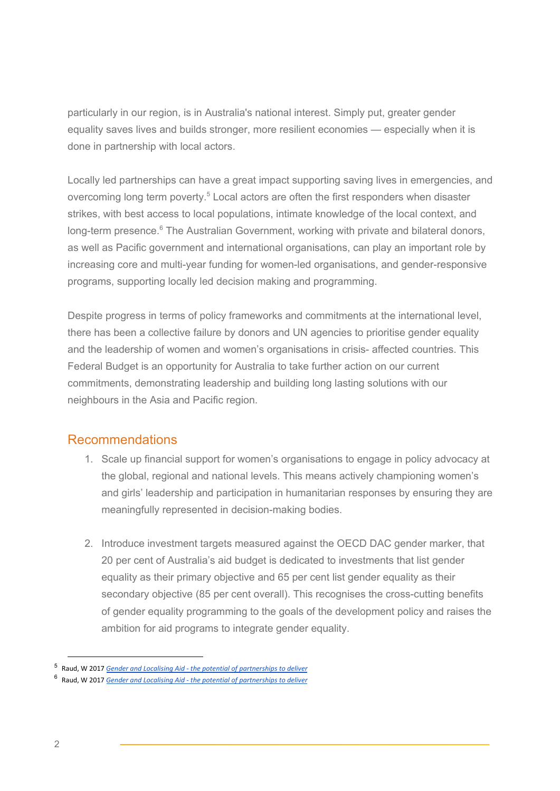particularly in our region, is in Australia's national interest. Simply put, greater gender equality saves lives and builds stronger, more resilient economies — especially when it is done in partnership with local actors.

Locally led partnerships can have a great impact supporting saving lives in emergencies, and overcoming long term poverty.<sup>5</sup> Local actors are often the first responders when disaster strikes, with best access to local populations, intimate knowledge of the local context, and long-term presence.<sup>6</sup> The Australian Government, working with private and bilateral donors, as well as Pacific government and international organisations, can play an important role by increasing core and multi-year funding for women-led organisations, and gender-responsive programs, supporting locally led decision making and programming.

Despite progress in terms of policy frameworks and commitments at the international level, there has been a collective failure by donors and UN agencies to prioritise gender equality and the leadership of women and women's organisations in crisis- affected countries. This Federal Budget is an opportunity for Australia to take further action on our current commitments, demonstrating leadership and building long lasting solutions with our neighbours in the Asia and Pacific region.

# Recommendations

- 1. Scale up financial support for women's organisations to engage in policy advocacy at the global, regional and national levels. This means actively championing women's and girls' leadership and participation in humanitarian responses by ensuring they are meaningfully represented in decision-making bodies.
- 2. Introduce investment targets measured against the OECD DAC gender marker, that 20 per cent of Australia's aid budget is dedicated to investments that list gender equality as their primary objective and 65 per cent list gender equality as their secondary objective (85 per cent overall). This recognises the cross-cutting benefits of gender equality programming to the goals of the development policy and raises the ambition for aid programs to integrate gender equality.

<sup>5</sup> Raud, W 2017 *Gender and Localising Aid - the potential of [partnerships](https://www.care-international.org/files/files/publications/Gender_and_Localizing_Aid_high_res.pdf) to deliver*

<sup>6</sup> Raud, W 2017 *Gender and Localising Aid - the potential of [partnerships](https://www.care-international.org/files/files/publications/Gender_and_Localizing_Aid_high_res.pdf) to deliver*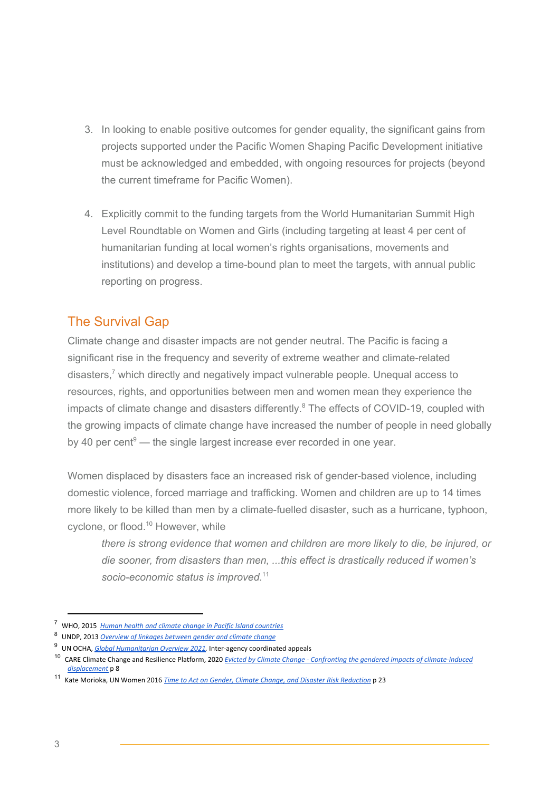- 3. In looking to enable positive outcomes for gender equality, the significant gains from projects supported under the Pacific Women Shaping Pacific Development initiative must be acknowledged and embedded, with ongoing resources for projects (beyond the current timeframe for Pacific Women).
- 4. Explicitly commit to the funding targets from the World Humanitarian Summit High Level Roundtable on Women and Girls (including targeting at least 4 per cent of humanitarian funding at local women's rights organisations, movements and institutions) and develop a time-bound plan to meet the targets, with annual public reporting on progress.

# The Survival Gap

Climate change and disaster impacts are not gender neutral. The Pacific is facing a significant rise in the frequency and severity of extreme weather and climate-related disasters,<sup>7</sup> which directly and negatively impact vulnerable people. Unequal access to resources, rights, and opportunities between men and women mean they experience the impacts of climate change and disasters differently. $8$  The effects of COVID-19, coupled with the growing impacts of climate change have increased the number of people in need globally by 40 per cent $\degree$  — the single largest increase ever recorded in one year.

Women displaced by disasters face an increased risk of gender-based violence, including domestic violence, forced marriage and trafficking. Women and children are up to 14 times more likely to be killed than men by a climate-fuelled disaster, such as a hurricane, typhoon, cyclone, or flood.<sup>10</sup> However, while

*there is strong evidence that women and children are more likely to die, be injured, or die sooner, from disasters than men, ...this effect is drastically reduced if women's socio-economic status is improved.* 11

<sup>7</sup> WHO, 2015 *Human health and climate change in Pacific Island [countries](https://apps.who.int/iris/rest/bitstreams/1147666/retrieve)*

<sup>8</sup> UNDP, 2013 *[Overview](https://www.undp.org/content/dam/undp/library/gender/Gender%20and%20Environment/PB1-AP-Overview-Gender-and-climate-change.pdf) of linkages between gender and climate change*

<sup>9</sup> UN OCHA, *Global [Humanitarian](https://reliefweb.int/sites/reliefweb.int/files/resources/GHO-2021-Abridged-EN.pdf) Overview 2021,* Inter-agency coordinated appeals

<sup>10</sup> CARE Climate Change and Resilience Platform, 2020 *Evicted by Climate Change - Confronting the gendered impacts of [climate-induced](https://careclimatechange.org/wp-content/uploads/2020/07/CARE-Climate-Migration-Report-v0.4.pdf) [displacement](https://careclimatechange.org/wp-content/uploads/2020/07/CARE-Climate-Migration-Report-v0.4.pdf)* p 8

<sup>11</sup> Kate Morioka, UN Women 2016 *Time to Act on Gender, Climate Change, and Disaster Risk [Reduction](https://www.nab.vu/sites/default/files/documents/unw-time-to-act-r2-h.pdf)* p 23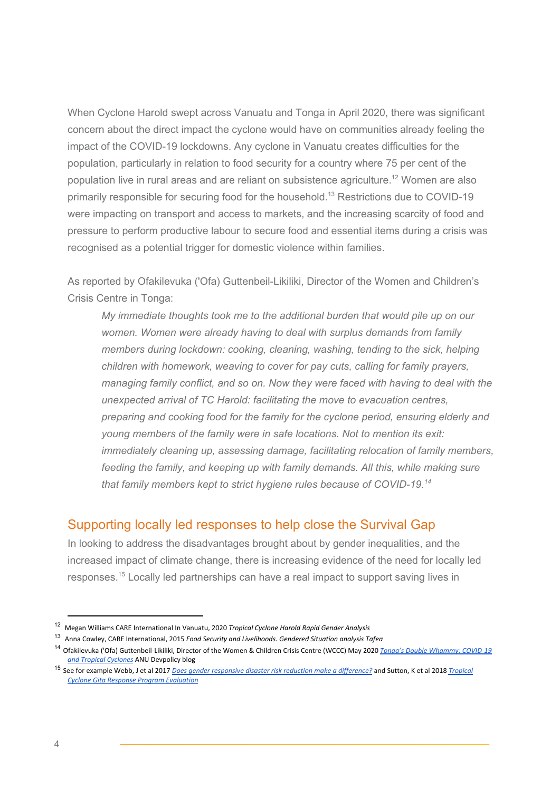When Cyclone Harold swept across Vanuatu and Tonga in April 2020, there was significant concern about the direct impact the cyclone would have on communities already feeling the impact of the COVID-19 lockdowns. Any cyclone in Vanuatu creates difficulties for the population, particularly in relation to food security for a country where 75 per cent of the population live in rural areas and are reliant on subsistence agriculture.<sup>12</sup> Women are also primarily responsible for securing food for the household.<sup>13</sup> Restrictions due to COVID-19 were impacting on transport and access to markets, and the increasing scarcity of food and pressure to perform productive labour to secure food and essential items during a crisis was recognised as a potential trigger for domestic violence within families.

As reported by Ofakilevuka ('Ofa) Guttenbeil-Likiliki, Director of the Women and Children's Crisis Centre in Tonga:

*My immediate thoughts took me to the additional burden that would pile up on our women. Women were already having to deal with surplus demands from family members during lockdown: cooking, cleaning, washing, tending to the sick, helping children with homework, weaving to cover for pay cuts, calling for family prayers, managing family conflict, and so on. Now they were faced with having to deal with the unexpected arrival of TC Harold: facilitating the move to evacuation centres, preparing and cooking food for the family for the cyclone period, ensuring elderly and young members of the family were in safe locations. Not to mention its exit: immediately cleaning up, assessing damage, facilitating relocation of family members, feeding the family, and keeping up with family demands. All this, while making sure that family members kept to strict hygiene rules because of COVID-19. 14*

### Supporting locally led responses to help close the Survival Gap

In looking to address the disadvantages brought about by gender inequalities, and the increased impact of climate change, there is increasing evidence of the need for locally led responses.<sup>15</sup> Locally led partnerships can have a real impact to support saving lives in

<sup>12</sup> Megan Williams CARE International In Vanuatu, 2020 *Tropical Cyclone Harold Rapid Gender Analysis*

<sup>13</sup> Anna Cowley, CARE International, 2015 *Food Security and Livelihoods. Gendered Situation analysis Tafea*

<sup>14</sup> Ofakilevuka ('Ofa) Guttenbeil-Likiliki, Director of the Women & Children Crisis Centre (WCCC) May 2020 *Tonga's Double [Whammy:](https://devpolicy.org/tongas-double-whammy-covid-19-and-tropical-cyclones-20200422/?fbclid=IwAR0mxlvp-4lIFl755a8Gku_rygo3AEVHJZpAKHNDSx0V4tCaC1FkVyyH1-Q) COVID-19 and Tropical [Cyclones](https://devpolicy.org/tongas-double-whammy-covid-19-and-tropical-cyclones-20200422/?fbclid=IwAR0mxlvp-4lIFl755a8Gku_rygo3AEVHJZpAKHNDSx0V4tCaC1FkVyyH1-Q)* ANU [Devpolicy](https://devpolicy.org/tongas-double-whammy-covid-19-and-tropical-cyclones-20200422/?fbclid=IwAR0mxlvp-4lIFl755a8Gku_rygo3AEVHJZpAKHNDSx0V4tCaC1FkVyyH1-Q) blog

<sup>15</sup> See for example Webb, J et al 2017 *Does gender responsive disaster risk reduction make a [difference?](https://uat.care.org.au/wp-content/uploads/2017/09/CARE_Vanuatu_DRR_Impact_Study_3_FINAL_web_amend.pdf)* and Sutton, K et al 2018 *[Tropical](https://www.careevaluations.org/wp-content/uploads/CARE_MORDI_LL-TC-Gita-Response-Final-Evaluation-Report_FINAL-FOR-CIRCULATION.pdf) Cyclone Gita Response Program [Evaluation](https://www.careevaluations.org/wp-content/uploads/CARE_MORDI_LL-TC-Gita-Response-Final-Evaluation-Report_FINAL-FOR-CIRCULATION.pdf)*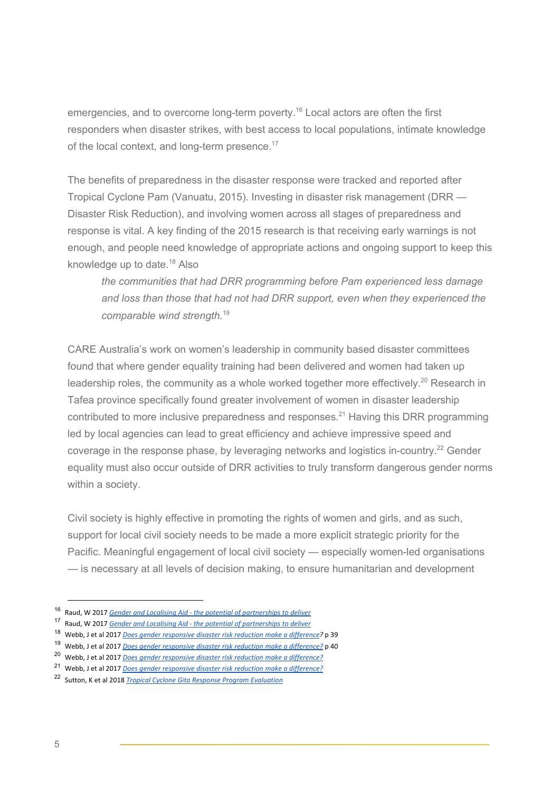emergencies, and to overcome long-term poverty.<sup>16</sup> Local actors are often the first responders when disaster strikes, with best access to local populations, intimate knowledge of the local context, and long-term presence.<sup>17</sup>

The benefits of preparedness in the disaster response were tracked and reported after Tropical Cyclone Pam (Vanuatu, 2015). Investing in disaster risk management (DRR — Disaster Risk Reduction), and involving women across all stages of preparedness and response is vital. A key finding of the 2015 research is that receiving early warnings is not enough, and people need knowledge of appropriate actions and ongoing support to keep this knowledge up to date.<sup>18</sup> Also

*the communities that had DRR programming before Pam experienced less damage and loss than those that had not had DRR support, even when they experienced the comparable wind strength.* 19

CARE Australia's work on women's leadership in community based disaster committees found that where gender equality training had been delivered and women had taken up leadership roles, the community as a whole worked together more effectively.<sup>20</sup> Research in Tafea province specifically found greater involvement of women in disaster leadership contributed to more inclusive preparedness and responses.<sup>21</sup> Having this DRR programming led by local agencies can lead to great efficiency and achieve impressive speed and coverage in the response phase, by leveraging networks and logistics in-country.<sup>22</sup> Gender equality must also occur outside of DRR activities to truly transform dangerous gender norms within a society.

Civil society is highly effective in promoting the rights of women and girls, and as such, support for local civil society needs to be made a more explicit strategic priority for the Pacific. Meaningful engagement of local civil society — especially women-led organisations — is necessary at all levels of decision making, to ensure humanitarian and development

<sup>16</sup> Raud, W 2017 *Gender and Localising Aid - the potential of [partnerships](https://www.care-international.org/files/files/publications/Gender_and_Localizing_Aid_high_res.pdf) to deliver*

<sup>17</sup> Raud, W 2017 *Gender and Localising Aid - the potential of [partnerships](https://www.care-international.org/files/files/publications/Gender_and_Localizing_Aid_high_res.pdf) to deliver*

<sup>18</sup> Webb, J et al 2017 *Does gender [responsive](https://uat.care.org.au/wp-content/uploads/2017/09/CARE_Vanuatu_DRR_Impact_Study_3_FINAL_web_amend.pdf) disaster risk reduction make a difference?* p 39

<sup>19</sup> Webb, J et al 2017 *Does gender responsive disaster risk reduction make a [difference?](https://uat.care.org.au/wp-content/uploads/2017/09/CARE_Vanuatu_DRR_Impact_Study_3_FINAL_web_amend.pdf)* p 40

<sup>20</sup> Webb, J et al 2017 *Does gender responsive disaster risk reduction make a [difference?](https://uat.care.org.au/wp-content/uploads/2017/09/CARE_Vanuatu_DRR_Impact_Study_3_FINAL_web_amend.pdf)*

<sup>21</sup> Webb, J et al 2017 *Does gender responsive disaster risk reduction make a [difference?](https://uat.care.org.au/wp-content/uploads/2017/09/CARE_Vanuatu_DRR_Impact_Study_3_FINAL_web_amend.pdf)*

<sup>22</sup> Sutton, K et al 2018 *Tropical Cyclone Gita Response Program [Evaluation](https://www.careevaluations.org/wp-content/uploads/CARE_MORDI_LL-TC-Gita-Response-Final-Evaluation-Report_FINAL-FOR-CIRCULATION.pdf)*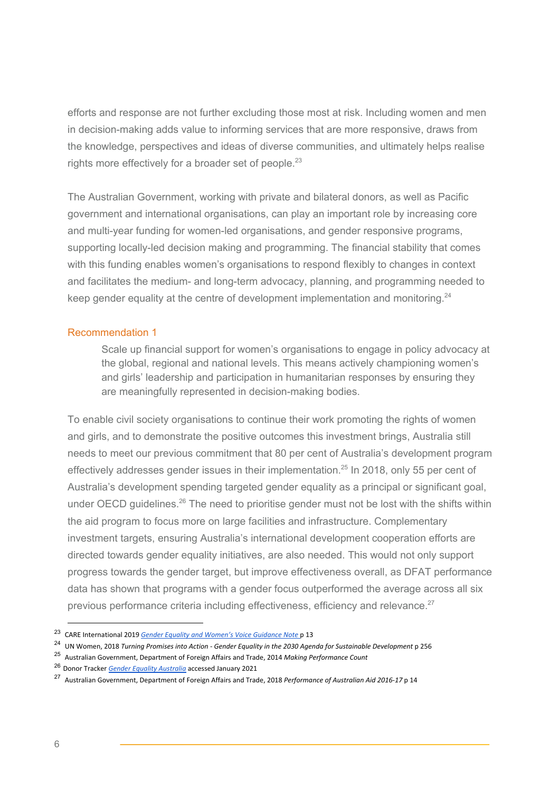efforts and response are not further excluding those most at risk. Including women and men in decision-making adds value to informing services that are more responsive, draws from the knowledge, perspectives and ideas of diverse communities, and ultimately helps realise rights more effectively for a broader set of people.<sup>23</sup>

The Australian Government, working with private and bilateral donors, as well as Pacific government and international organisations, can play an important role by increasing core and multi-year funding for women-led organisations, and gender responsive programs, supporting locally-led decision making and programming. The financial stability that comes with this funding enables women's organisations to respond flexibly to changes in context and facilitates the medium- and long-term advocacy, planning, and programming needed to keep gender equality at the centre of development implementation and monitoring. $24$ 

### Recommendation 1

Scale up financial support for women's organisations to engage in policy advocacy at the global, regional and national levels. This means actively championing women's and girls' leadership and participation in humanitarian responses by ensuring they are meaningfully represented in decision-making bodies.

To enable civil society organisations to continue their work promoting the rights of women and girls, and to demonstrate the positive outcomes this investment brings, Australia still needs to meet our previous commitment that 80 per cent of Australia's development program effectively addresses gender issues in their implementation. $25$  In 2018, only 55 per cent of Australia's development spending targeted gender equality as a principal or significant goal, under OECD guidelines.<sup>26</sup> The need to prioritise gender must not be lost with the shifts within the aid program to focus more on large facilities and infrastructure. Complementary investment targets, ensuring Australia's international development cooperation efforts are directed towards gender equality initiatives, are also needed. This would not only support progress towards the gender target, but improve effectiveness overall, as DFAT performance data has shown that programs with a gender focus outperformed the average across all six previous performance criteria including effectiveness, efficiency and relevance.<sup>27</sup>

<sup>23</sup> CARE International 2019 *Gender Equality and [Women's](https://insights.careinternational.org.uk/images/in-practice/GEWV/GEWV_guidance-note_english_2019.pdf) Voice Guidance Note* p 13

<sup>24</sup> UN Women, 2018 *Turning Promises into Action - Gender Equality in the 2030 Agenda for Sustainable Development* p 256

<sup>25</sup> Australian Government, Department of Foreign Affairs and Trade, 2014 *Making Performance Count*

<sup>26</sup> Donor Tracker *Gender Equality [Australia](https://donortracker.org/node/11268)* accessed January 2021

<sup>27</sup> Australian Government, Department of Foreign Affairs and Trade, 2018 *Performance of Australian Aid 2016-17* p 14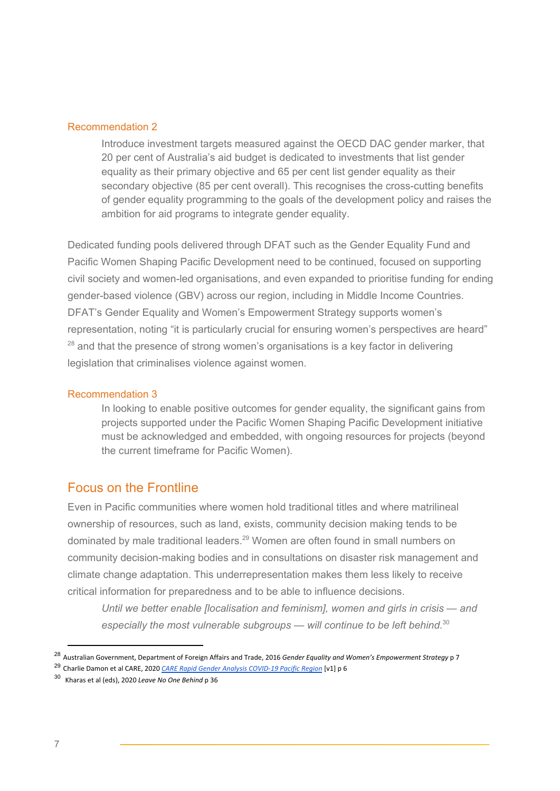### Recommendation 2

Introduce investment targets measured against the OECD DAC gender marker, that 20 per cent of Australia's aid budget is dedicated to investments that list gender equality as their primary objective and 65 per cent list gender equality as their secondary objective (85 per cent overall). This recognises the cross-cutting benefits of gender equality programming to the goals of the development policy and raises the ambition for aid programs to integrate gender equality.

Dedicated funding pools delivered through DFAT such as the Gender Equality Fund and Pacific Women Shaping Pacific Development need to be continued, focused on supporting civil society and women-led organisations, and even expanded to prioritise funding for ending gender-based violence (GBV) across our region, including in Middle Income Countries. DFAT's Gender Equality and Women's Empowerment Strategy supports women's representation, noting "it is particularly crucial for ensuring women's perspectives are heard"  $28$  and that the presence of strong women's organisations is a key factor in delivering legislation that criminalises violence against women.

#### Recommendation 3

In looking to enable positive outcomes for gender equality, the significant gains from projects supported under the Pacific Women Shaping Pacific Development initiative must be acknowledged and embedded, with ongoing resources for projects (beyond the current timeframe for Pacific Women).

### Focus on the Frontline

Even in Pacific communities where women hold traditional titles and where matrilineal ownership of resources, such as land, exists, community decision making tends to be dominated by male traditional leaders.<sup>29</sup> Women are often found in small numbers on community decision-making bodies and in consultations on disaster risk management and climate change adaptation. This underrepresentation makes them less likely to receive critical information for preparedness and to be able to influence decisions.

*Until we better enable [localisation and feminism], women and girls in crisis — and especially the most vulnerable subgroups — will continue to be left behind.* 30

<sup>28</sup> Australian Government, Department of Foreign Affairs and Trade, 2016 *Gender Equality and Women's Empowerment Strategy* p 7

<sup>29</sup> Charlie Damon et al CARE, 2020 *CARE Rapid Gender Analysis [COVID-19](https://www.care.org.au/wp-content/uploads/2020/03/Pacific-RGA-FINAL-APPROVED-26March2020.pdf) Pacific Region* [v1] p 6

<sup>30</sup> Kharas et al (eds), 2020 *Leave No One Behind* p 36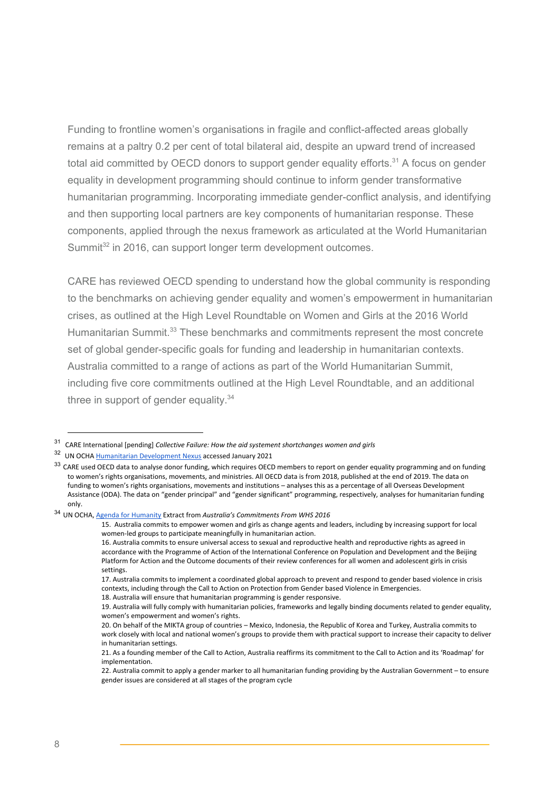Funding to frontline women's organisations in fragile and conflict-affected areas globally remains at a paltry 0.2 per cent of total bilateral aid, despite an upward trend of increased total aid committed by OECD donors to support gender equality efforts.<sup>31</sup> A focus on gender equality in development programming should continue to inform gender transformative humanitarian programming. Incorporating immediate gender-conflict analysis, and identifying and then supporting local partners are key components of humanitarian response. These components, applied through the nexus framework as articulated at the World Humanitarian Summit<sup>32</sup> in 2016, can support longer term development outcomes.

CARE has reviewed OECD spending to understand how the global community is responding to the benchmarks on achieving gender equality and women's empowerment in humanitarian crises, as outlined at the High Level Roundtable on Women and Girls at the 2016 World Humanitarian Summit.<sup>33</sup> These benchmarks and commitments represent the most concrete set of global gender-specific goals for funding and leadership in humanitarian contexts. Australia committed to a range of actions as part of the World Humanitarian Summit, including five core commitments outlined at the High Level Roundtable, and an additional three in support of gender equality.<sup>34</sup>

<sup>31</sup> CARE International [pending] *Collective Failure: How the aid systement shortchanges women and girls*

<sup>&</sup>lt;sup>32</sup> UN OCHA [Humanitarian](https://www.unocha.org/es/themes/humanitarian-development-nexus) Development Nexus accessed January 2021

 $33$  CARE used OECD data to analyse donor funding, which requires OECD members to report on gender equality programming and on funding to women's rights organisations, movements, and ministries. All OECD data is from 2018, published at the end of 2019. The data on funding to women's rights organisations, movements and institutions – analyses this as a percentage of all Overseas Development Assistance (ODA). The data on "gender principal" and "gender significant" programming, respectively, analyses for humanitarian funding only.

<sup>34</sup> UN OCHA, Agenda for [Humanity](http://agendaforhumanity.org/sites/default/files/Australia_commitments_final.pdf) Extract from *Australia's Commitments From WHS 2016*

<sup>15.</sup> Australia commits to empower women and girls as change agents and leaders, including by increasing support for local women-led groups to participate meaningfully in humanitarian action.

<sup>16.</sup> Australia commits to ensure universal access to sexual and reproductive health and reproductive rights as agreed in accordance with the Programme of Action of the International Conference on Population and Development and the Beijing Platform for Action and the Outcome documents of their review conferences for all women and adolescent girls in crisis settings.

<sup>17.</sup> Australia commits to implement a coordinated global approach to prevent and respond to gender based violence in crisis contexts, including through the Call to Action on Protection from Gender based Violence in Emergencies.

<sup>18.</sup> Australia will ensure that humanitarian programming is gender responsive.

<sup>19.</sup> Australia will fully comply with humanitarian policies, frameworks and legally binding documents related to gender equality, women's empowerment and women's rights.

<sup>20.</sup> On behalf of the MIKTA group of countries – Mexico, Indonesia, the Republic of Korea and Turkey, Australia commits to work closely with local and national women's groups to provide them with practical support to increase their capacity to deliver in humanitarian settings.

<sup>21.</sup> As a founding member of the Call to Action, Australia reaffirms its commitment to the Call to Action and its 'Roadmap' for implementation.

<sup>22.</sup> Australia commit to apply a gender marker to all humanitarian funding providing by the Australian Government – to ensure gender issues are considered at all stages of the program cycle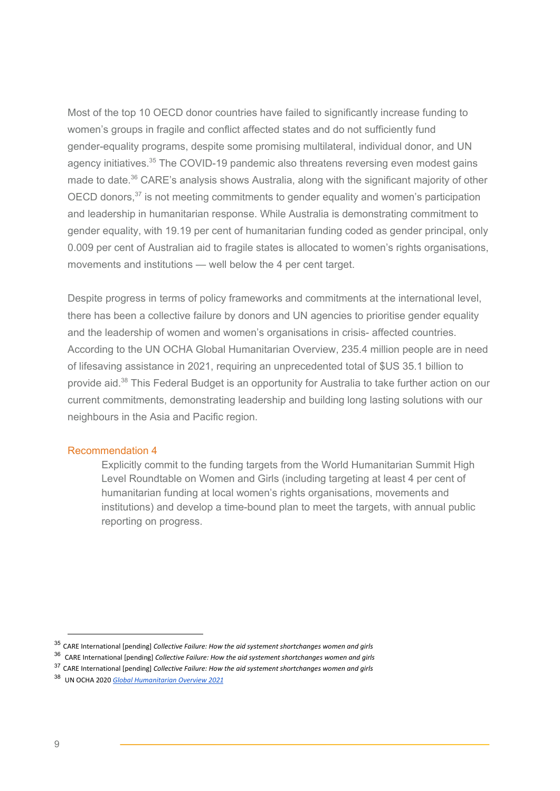Most of the top 10 OECD donor countries have failed to significantly increase funding to women's groups in fragile and conflict affected states and do not sufficiently fund gender-equality programs, despite some promising multilateral, individual donor, and UN agency initiatives.<sup>35</sup> The COVID-19 pandemic also threatens reversing even modest gains made to date.<sup>36</sup> CARE's analysis shows Australia, along with the significant majority of other OECD donors, $37$  is not meeting commitments to gender equality and women's participation and leadership in humanitarian response. While Australia is demonstrating commitment to gender equality, with 19.19 per cent of humanitarian funding coded as gender principal, only 0.009 per cent of Australian aid to fragile states is allocated to women's rights organisations, movements and institutions — well below the 4 per cent target.

Despite progress in terms of policy frameworks and commitments at the international level, there has been a collective failure by donors and UN agencies to prioritise gender equality and the leadership of women and women's organisations in crisis- affected countries. According to the UN OCHA Global Humanitarian Overview, 235.4 million people are in need of lifesaving assistance in 2021, requiring an unprecedented total of \$US 35.1 billion to provide aid.<sup>38</sup> This Federal Budget is an opportunity for Australia to take further action on our current commitments, demonstrating leadership and building long lasting solutions with our neighbours in the Asia and Pacific region.

#### Recommendation 4

Explicitly commit to the funding targets from the World Humanitarian Summit High Level Roundtable on Women and Girls (including targeting at least 4 per cent of humanitarian funding at local women's rights organisations, movements and institutions) and develop a time-bound plan to meet the targets, with annual public reporting on progress.

<sup>35</sup> CARE International [pending] *Collective Failure: How the aid systement shortchanges women and girls*

<sup>36</sup> CARE International [pending] *Collective Failure: How the aid systement shortchanges women and girls*

<sup>37</sup> CARE International [pending] *Collective Failure: How the aid systement shortchanges women and girls*

<sup>38</sup> UN OCHA 2020 *Global [Humanitarian](https://reliefweb.int/report/world/global-humanitarian-overview-2021-enarfres) Overview 2021*